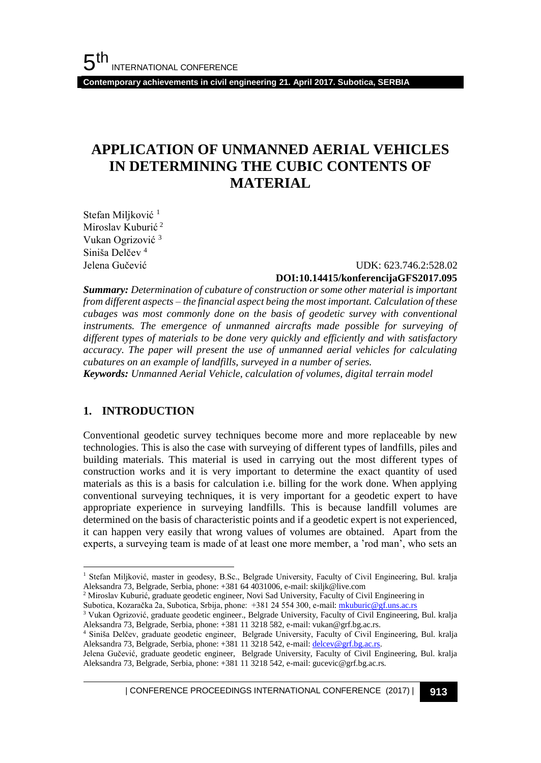**Contemporary achievements in civil engineering 21. April 2017. Subotica, SERBIA**

# **APPLICATION OF UNMANNED AERIAL VEHICLES IN DETERMINING THE CUBIC CONTENTS OF MATERIAL**

Stefan Miljković<sup>1</sup> Miroslav Kuburić<sup>2</sup> Vukan Ogrizović <sup>3</sup> Siniša Delčev<sup>4</sup>

#### Jelena Gučević UDK: 623.746.2:528.02 **DOI:10.14415/konferencijaGFS2017.095**

*Summary: Determination of cubature of construction or some other material is important from different aspects – the financial aspect being the most important. Calculation of these cubages was most commonly done on the basis of geodetic survey with conventional instruments. The emergence of unmanned aircrafts made possible for surveying of different types of materials to be done very quickly and efficiently and with satisfactory accuracy. The paper will present the use of unmanned aerial vehicles for calculating cubatures on an example of landfills, surveyed in a number of series.* 

*Keywords: Unmanned Aerial Vehicle, calculation of volumes, digital terrain model* 

#### **1. INTRODUCTION**

l

Conventional geodetic survey techniques become more and more replaceable by new technologies. This is also the case with surveying of different types of landfills, piles and building materials. This material is used in carrying out the most different types of construction works and it is very important to determine the exact quantity of used materials as this is a basis for calculation i.e. billing for the work done. When applying conventional surveying techniques, it is very important for a geodetic expert to have appropriate experience in surveying landfills. This is because landfill volumes are determined on the basis of characteristic points and if a geodetic expert is not experienced, it can happen very easily that wrong values of volumes are obtained. Apart from the experts, a surveying team is made of at least one more member, a 'rod man', who sets an

<sup>2</sup> Miroslav Kuburić, graduate geodetic engineer, Novi Sad University, Faculty of Civil Engineering in

Subotica, Kozaračka 2a, Subotica, Srbija, phone: +381 24 554 300, e-mail[: mkuburic@gf.uns.ac.rs](mailto:mkuburic@gf.uns.ac.rs)

| CONFERENCE PROCEEDINGS INTERNATIONAL CONFERENCE (2017) <sup>|</sup>**913**

<sup>1</sup> Stefan Miljković, master in geodesy, B.Sc., Belgrade University, Faculty of Civil Engineering, Bul. kralja Aleksandra 73, Belgrade, Serbia, phone: +381 64 4031006, e-mail: skiljk@live.com

<sup>&</sup>lt;sup>3</sup> Vukan Ogrizović, graduate geodetic engineer., Belgrade University, Faculty of Civil Engineering, Bul. kralja Aleksandra 73, Belgrade, Serbia, phone: +381 11 3218 582, e-mail: vukan@grf.bg.ac.rs.

<sup>4</sup> Siniša Delčev, graduate geodetic engineer, Belgrade University, Faculty of Civil Engineering, Bul. kralja Aleksandra 73, Belgrade, Serbia, phone: +381 11 3218 542, e-mail[: delcev@grf.bg.ac.rs.](mailto:delcev@grf.bg.ac.rs)

Jelena Gučević, graduate geodetic engineer, Belgrade University, Faculty of Civil Engineering, Bul. kralja Aleksandra 73, Belgrade, Serbia, phone: +381 11 3218 542, e-mail: gucevic@grf.bg.ac.rs.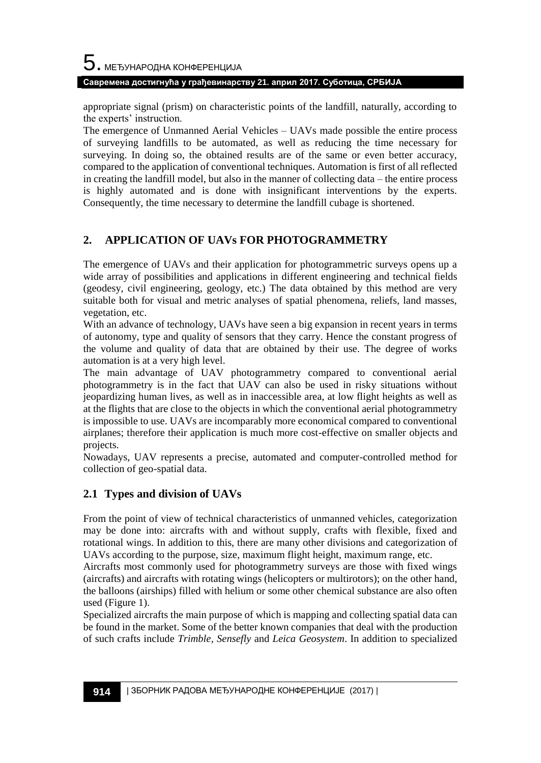# $\mathbf 5$ . међународна конференција **Савремена достигнућа у грађевинарству 21. април 2017. Суботица, СРБИЈА**

appropriate signal (prism) on characteristic points of the landfill, naturally, according to the experts' instruction.

The emergence of Unmanned Aerial Vehicles – UAVs made possible the entire process of surveying landfills to be automated, as well as reducing the time necessary for surveying. In doing so, the obtained results are of the same or even better accuracy, compared to the application of conventional techniques. Automation is first of all reflected in creating the landfill model, but also in the manner of collecting data – the entire process is highly automated and is done with insignificant interventions by the experts. Consequently, the time necessary to determine the landfill cubage is shortened.

### **2. APPLICATION OF UAVs FOR PHOTOGRAMMETRY**

The emergence of UAVs and their application for photogrammetric surveys opens up a wide array of possibilities and applications in different engineering and technical fields (geodesy, civil engineering, geology, etc.) The data obtained by this method are very suitable both for visual and metric analyses of spatial phenomena, reliefs, land masses, vegetation, etc.

With an advance of technology, UAVs have seen a big expansion in recent years in terms of autonomy, type and quality of sensors that they carry. Hence the constant progress of the volume and quality of data that are obtained by their use. The degree of works automation is at a very high level.

The main advantage of UAV photogrammetry compared to conventional aerial photogrammetry is in the fact that UAV can also be used in risky situations without jeopardizing human lives, as well as in inaccessible area, at low flight heights as well as at the flights that are close to the objects in which the conventional aerial photogrammetry is impossible to use. UAVs are incomparably more economical compared to conventional airplanes; therefore their application is much more cost-effective on smaller objects and projects.

Nowadays, UAV represents a precise, automated and computer-controlled method for collection of geo-spatial data.

#### **2.1 Types and division of UAVs**

From the point of view of technical characteristics of unmanned vehicles, categorization may be done into: aircrafts with and without supply, crafts with flexible, fixed and rotational wings. In addition to this, there are many other divisions and categorization of UAVs according to the purpose, size, maximum flight height, maximum range, etc.

Aircrafts most commonly used for photogrammetry surveys are those with fixed wings (aircrafts) and aircrafts with rotating wings (helicopters or multirotors); on the other hand, the balloons (airships) filled with helium or some other chemical substance are also often used (Figure 1).

Specialized aircrafts the main purpose of which is mapping and collecting spatial data can be found in the market. Some of the better known companies that deal with the production of such crafts include *Trimble, Sensefly* and *Leica Geosystem*. In addition to specialized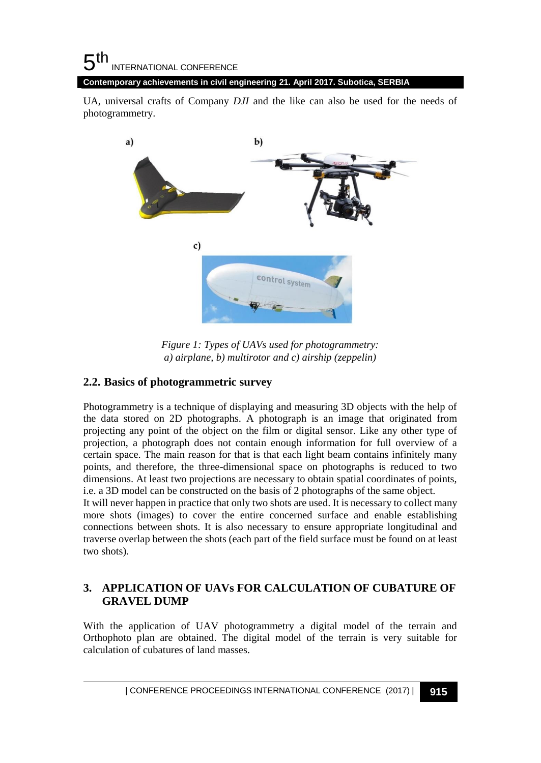#### 5 th INTERNATIONAL CONFERENCE **Contemporary achievements in civil engineering 21. April 2017. Subotica, SERBIA**

UA, universal crafts of Company *DJI* and the like can also be used for the needs of photogrammetry.



*Figure 1: Types of UAVs used for photogrammetry: a) airplane, b) multirotor and c) airship (zeppelin)*

#### **2.2. Basics of photogrammetric survey**

Photogrammetry is a technique of displaying and measuring 3D objects with the help of the data stored on 2D photographs. A photograph is an image that originated from projecting any point of the object on the film or digital sensor. Like any other type of projection, a photograph does not contain enough information for full overview of a certain space. The main reason for that is that each light beam contains infinitely many points, and therefore, the three-dimensional space on photographs is reduced to two dimensions. At least two projections are necessary to obtain spatial coordinates of points, i.e. a 3D model can be constructed on the basis of 2 photographs of the same object.

It will never happen in practice that only two shots are used. It is necessary to collect many more shots (images) to cover the entire concerned surface and enable establishing connections between shots. It is also necessary to ensure appropriate longitudinal and traverse overlap between the shots (each part of the field surface must be found on at least two shots).

#### **3. APPLICATION OF UAVs FOR CALCULATION OF CUBATURE OF GRAVEL DUMP**

With the application of UAV photogrammetry a digital model of the terrain and Orthophoto plan are obtained. The digital model of the terrain is very suitable for calculation of cubatures of land masses.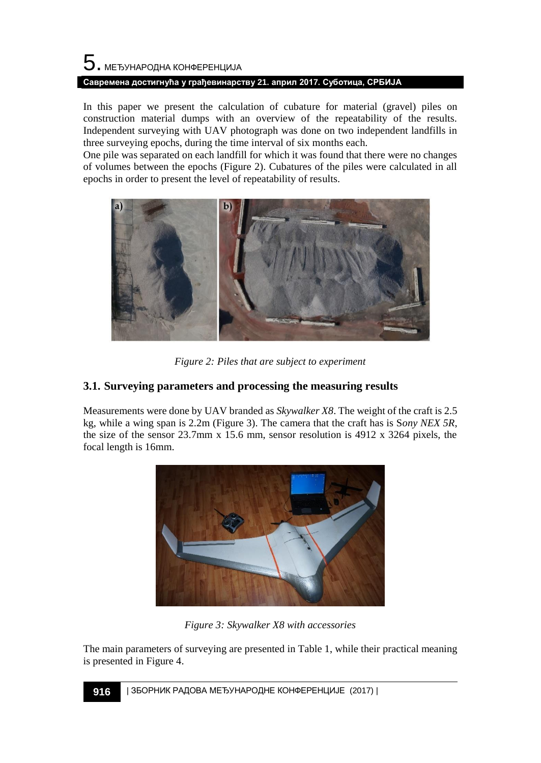# $\mathbf 5$ . међународна конференција **Савремена достигнућа у грађевинарству 21. април 2017. Суботица, СРБИЈА**

In this paper we present the calculation of cubature for material (gravel) piles on construction material dumps with an overview of the repeatability of the results. Independent surveying with UAV photograph was done on two independent landfills in three surveying epochs, during the time interval of six months each.

One pile was separated on each landfill for which it was found that there were no changes of volumes between the epochs (Figure 2). Cubatures of the piles were calculated in all epochs in order to present the level of repeatability of results.



*Figure 2: Piles that are subject to experiment* 

### **3.1. Surveying parameters and processing the measuring results**

Measurements were done by UAV branded as *Skywalker X8*. The weight of the craft is 2.5 kg, while a wing span is 2.2m (Figure 3). The camera that the craft has is S*ony NEX 5R*, the size of the sensor 23.7mm x 15.6 mm, sensor resolution is 4912 x 3264 pixels, the focal length is 16mm.



*Figure 3: Skywalker X8 with accessories*

The main parameters of surveying are presented in Table 1, while their practical meaning is presented in Figure 4.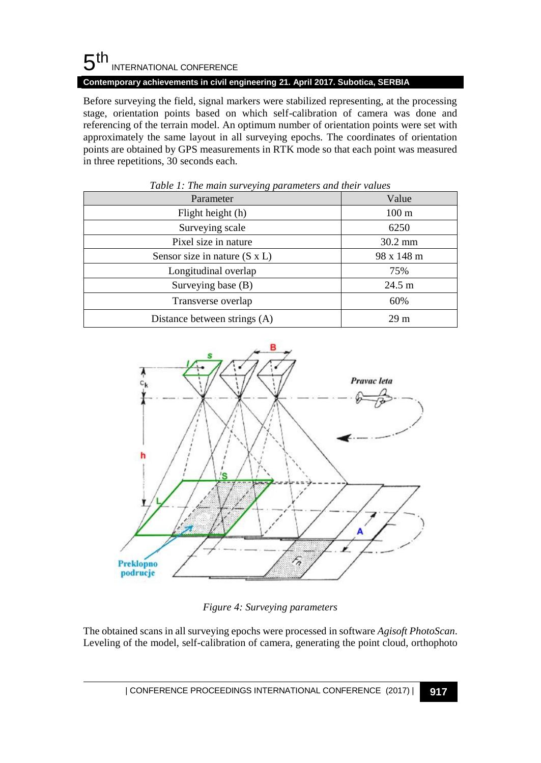# $5<sup>th</sup>$ INTERNATIONAL CONFERENCE

**Contemporary achievements in civil engineering 21. April 2017. Subotica, SERBIA**

Before surveying the field, signal markers were stabilized representing, at the processing stage, orientation points based on which self-calibration of camera was done and referencing of the terrain model. An optimum number of orientation points were set with approximately the same layout in all surveying epochs. The coordinates of orientation points are obtained by GPS measurements in RTK mode so that each point was measured in three repetitions, 30 seconds each.

| Parameter                            | Value             |  |  |
|--------------------------------------|-------------------|--|--|
| Flight height (h)                    | $100 \text{ m}$   |  |  |
| Surveying scale                      | 6250              |  |  |
| Pixel size in nature                 | $30.2 \text{ mm}$ |  |  |
| Sensor size in nature $(S \times L)$ | 98 x 148 m        |  |  |
| Longitudinal overlap                 | 75%               |  |  |
| Surveying base (B)                   | $24.5 \text{ m}$  |  |  |
| Transverse overlap                   | 60%               |  |  |
| Distance between strings (A)         | 29 <sub>m</sub>   |  |  |

*Table 1: The main surveying parameters and their values*



*Figure 4: Surveying parameters* 

The obtained scans in all surveying epochs were processed in software *Agisoft PhotoScan*. Leveling of the model, self-calibration of camera, generating the point cloud, orthophoto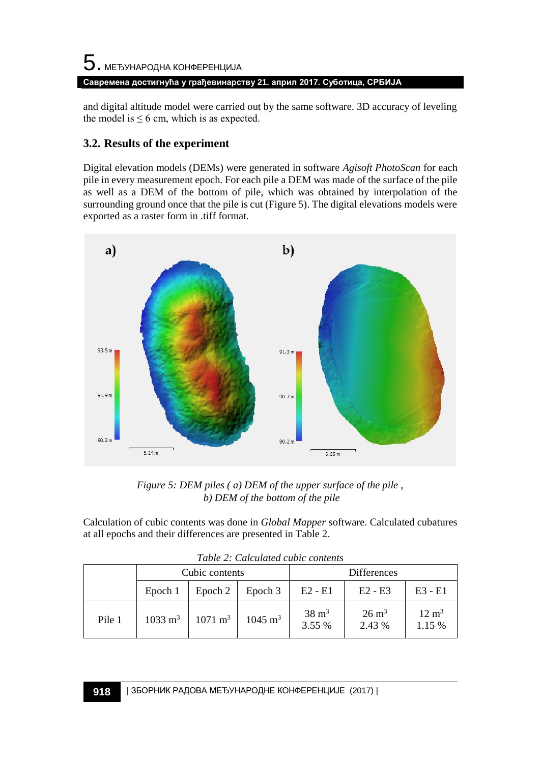# 5. МЕЂУНАРОДНА КОНФЕРЕНЦИЈА **Савремена достигнућа у грађевинарству 21. април 2017. Суботица, СРБИЈА**

and digital altitude model were carried out by the same software. 3D accuracy of leveling the model is  $\leq 6$  cm, which is as expected.

# **3.2. Results of the experiment**

Digital elevation models (DEMs) were generated in software *Agisoft PhotoScan* for each pile in every measurement epoch. For each pile a DEM was made of the surface of the pile as well as a DEM of the bottom of pile, which was obtained by interpolation of the surrounding ground once that the pile is cut (Figure 5). The digital elevations models were exported as a raster form in .tiff format.



*Figure 5: DEM piles ( a) DEM of the upper surface of the pile , b) DEM of the bottom of the pile*

Calculation of cubic contents was done in *Global Mapper* software. Calculated cubatures at all epochs and their differences are presented in Table 2.

|        | Tuble 2. Calculated cubic contents<br>Cubic contents |                    |                    | <b>Differences</b>         |                            |                            |
|--------|------------------------------------------------------|--------------------|--------------------|----------------------------|----------------------------|----------------------------|
|        | Epoch 1                                              | Epoch 2            | Epoch 3            | $E2 - E1$                  | $E2 - E3$                  | $E3 - E1$                  |
| Pile 1 | $1033 \; \mathrm{m}^3$                               | $1071 \text{ m}^3$ | $1045 \text{ m}^3$ | $38 \text{ m}^3$<br>3.55 % | $26 \text{ m}^3$<br>2.43 % | $12 \text{ m}^3$<br>1.15 % |